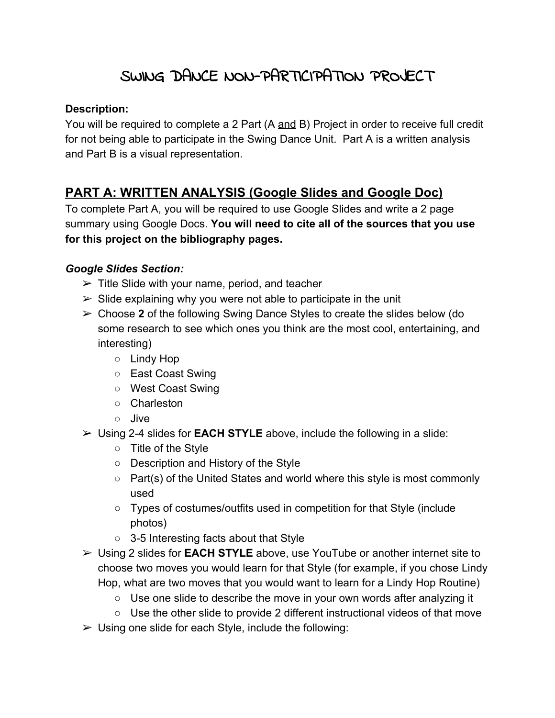# SWING DANCE NON-PARTICIPATION PROJECT

#### **Description:**

You will be required to complete a 2 Part (A and B) Project in order to receive full credit for not being able to participate in the Swing Dance Unit. Part A is a written analysis and Part B is a visual representation.

## **PART A: WRITTEN ANALYSIS (Google Slides and Google Doc)**

To complete Part A, you will be required to use Google Slides and write a 2 page summary using Google Docs. **You will need to cite all of the sources that you use for this project on the bibliography pages.**

#### *Google Slides Section:*

- $\triangleright$  Title Slide with your name, period, and teacher
- $\triangleright$  Slide explaining why you were not able to participate in the unit
- ➢ Choose **2** of the following Swing Dance Styles to create the slides below (do some research to see which ones you think are the most cool, entertaining, and interesting)
	- Lindy Hop
	- East Coast Swing
	- West Coast Swing
	- Charleston
	- Jive
- ➢ Using 2-4 slides for **EACH STYLE** above, include the following in a slide:
	- Title of the Style
	- Description and History of the Style
	- Part(s) of the United States and world where this style is most commonly used
	- Types of costumes/outfits used in competition for that Style (include photos)
	- 3-5 Interesting facts about that Style
- ➢ Using 2 slides for **EACH STYLE** above, use YouTube or another internet site to choose two moves you would learn for that Style (for example, if you chose Lindy Hop, what are two moves that you would want to learn for a Lindy Hop Routine)
	- Use one slide to describe the move in your own words after analyzing it
	- Use the other slide to provide 2 different instructional videos of that move
- $\triangleright$  Using one slide for each Style, include the following: